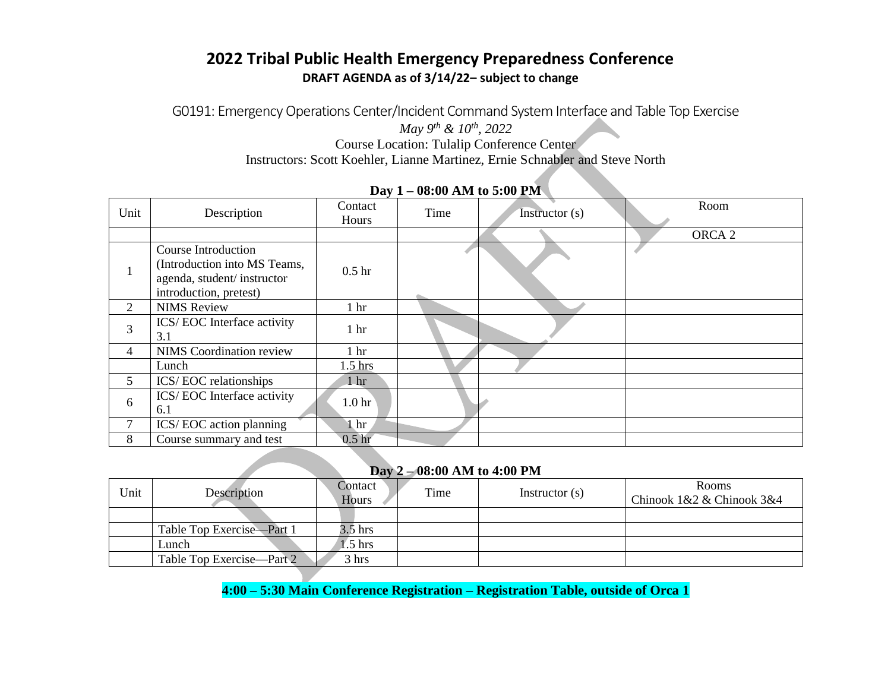# **2022 Tribal Public Health Emergency Preparedness Conference DRAFT AGENDA as of 3/14/22– subject to change**

G0191: Emergency Operations Center/Incident Command System Interface and Table Top Exercise *May 9th & 10th, 2022* Course Location: Tulalip Conference Center Instructors: Scott Koehler, Lianne Martinez, Ernie Schnabler and Steve North

| Unit           | Description                                                                                                        | Contact<br>Hours  | Time | Instructor $(s)$ | Room              |
|----------------|--------------------------------------------------------------------------------------------------------------------|-------------------|------|------------------|-------------------|
|                |                                                                                                                    |                   |      |                  | ORCA <sub>2</sub> |
|                | <b>Course Introduction</b><br>(Introduction into MS Teams,<br>agenda, student/instructor<br>introduction, pretest) | 0.5 <sub>hr</sub> |      |                  |                   |
| $\overline{2}$ | <b>NIMS</b> Review                                                                                                 | 1 <sub>hr</sub>   |      |                  |                   |
| 3              | ICS/EOC Interface activity<br>3.1                                                                                  | 1 <sub>hr</sub>   |      |                  |                   |
| 4              | <b>NIMS</b> Coordination review                                                                                    | 1 <sub>hr</sub>   |      |                  |                   |
|                | Lunch                                                                                                              | $1.5$ hrs         |      |                  |                   |
| 5              | ICS/EOC relationships                                                                                              | 1 <sub>hr</sub>   |      |                  |                   |
| 6              | ICS/EOC Interface activity<br>6.1                                                                                  | 1.0 <sub>hr</sub> |      |                  |                   |
| 7              | ICS/EOC action planning                                                                                            | 1 hr              |      |                  |                   |
| 8              | Course summary and test                                                                                            | 0.5 <sub>hr</sub> |      |                  |                   |

## **Day 1 – 08:00 AM to 5:00 PM**

## **Day 2 – 08:00 AM to 4:00 PM**

| Unit | Description               | Contact<br>Hours | Time | Instructor $(s)$ | <b>Rooms</b><br>Chinook 1&2 & Chinook 3&4 |
|------|---------------------------|------------------|------|------------------|-------------------------------------------|
|      |                           |                  |      |                  |                                           |
|      | Table Top Exercise—Part 1 | 3.5 hrs          |      |                  |                                           |
|      | Lunch                     | $1.5$ hrs        |      |                  |                                           |
|      | Table Top Exercise—Part 2 | 3 hrs            |      |                  |                                           |

**4:00 – 5:30 Main Conference Registration – Registration Table, outside of Orca 1**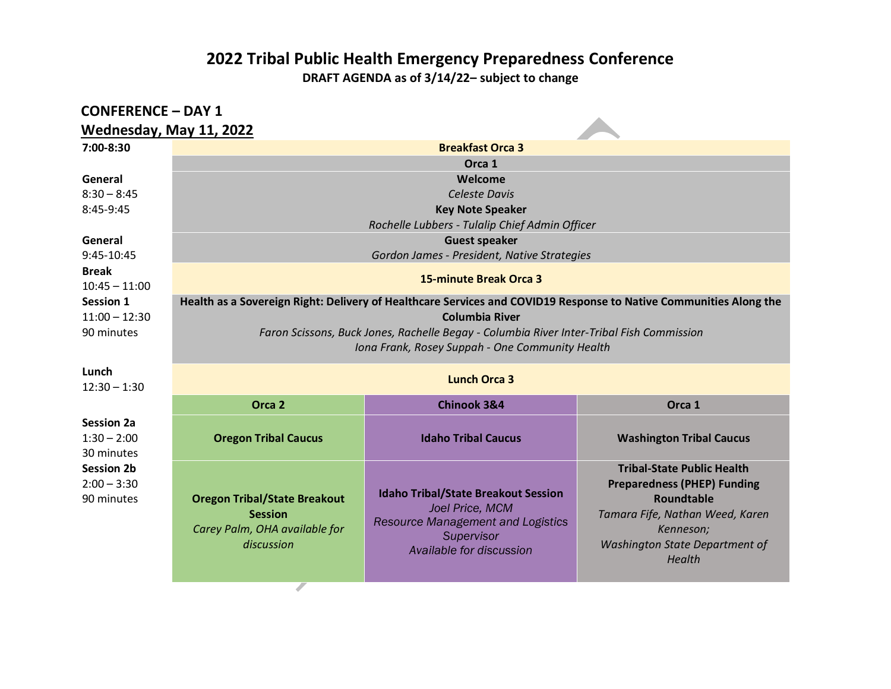**DRAFT AGENDA as of 3/14/22– subject to change**

| <b>CONFERENCE - DAY 1</b>          |                                                                                                                   |                                                |                                                  |  |  |
|------------------------------------|-------------------------------------------------------------------------------------------------------------------|------------------------------------------------|--------------------------------------------------|--|--|
| Wednesday, May 11, 2022            |                                                                                                                   |                                                |                                                  |  |  |
| 7:00-8:30                          |                                                                                                                   | <b>Breakfast Orca 3</b>                        |                                                  |  |  |
|                                    |                                                                                                                   | Orca 1                                         |                                                  |  |  |
| General                            |                                                                                                                   | Welcome                                        |                                                  |  |  |
| $8:30 - 8:45$                      | <b>Celeste Davis</b>                                                                                              |                                                |                                                  |  |  |
| 8:45-9:45                          | <b>Key Note Speaker</b>                                                                                           |                                                |                                                  |  |  |
|                                    |                                                                                                                   | Rochelle Lubbers - Tulalip Chief Admin Officer |                                                  |  |  |
| General                            |                                                                                                                   | <b>Guest speaker</b>                           |                                                  |  |  |
| 9:45-10:45                         |                                                                                                                   | Gordon James - President, Native Strategies    |                                                  |  |  |
| <b>Break</b>                       |                                                                                                                   | <b>15-minute Break Orca 3</b>                  |                                                  |  |  |
| $10:45 - 11:00$                    |                                                                                                                   |                                                |                                                  |  |  |
| <b>Session 1</b>                   | Health as a Sovereign Right: Delivery of Healthcare Services and COVID19 Response to Native Communities Along the |                                                |                                                  |  |  |
| $11:00 - 12:30$                    | <b>Columbia River</b>                                                                                             |                                                |                                                  |  |  |
| 90 minutes                         | Faron Scissons, Buck Jones, Rachelle Begay - Columbia River Inter-Tribal Fish Commission                          |                                                |                                                  |  |  |
|                                    | Iona Frank, Rosey Suppah - One Community Health                                                                   |                                                |                                                  |  |  |
| Lunch                              | <b>Lunch Orca 3</b>                                                                                               |                                                |                                                  |  |  |
| $12:30 - 1:30$                     |                                                                                                                   |                                                |                                                  |  |  |
|                                    | Orca <sub>2</sub>                                                                                                 | <b>Chinook 3&amp;4</b>                         | Orca 1                                           |  |  |
| <b>Session 2a</b>                  |                                                                                                                   |                                                |                                                  |  |  |
| $1:30 - 2:00$                      | <b>Oregon Tribal Caucus</b>                                                                                       | <b>Idaho Tribal Caucus</b>                     | <b>Washington Tribal Caucus</b>                  |  |  |
| 30 minutes                         |                                                                                                                   |                                                |                                                  |  |  |
| <b>Session 2b</b><br>$2:00 - 3:30$ |                                                                                                                   |                                                | <b>Tribal-State Public Health</b>                |  |  |
| 90 minutes                         | <b>Oregon Tribal/State Breakout</b>                                                                               | <b>Idaho Tribal/State Breakout Session</b>     | <b>Preparedness (PHEP) Funding</b><br>Roundtable |  |  |
|                                    | <b>Session</b>                                                                                                    | Joel Price, MCM                                | Tamara Fife, Nathan Weed, Karen                  |  |  |
|                                    | Carey Palm, OHA available for                                                                                     | <b>Resource Management and Logistics</b>       | Kenneson;                                        |  |  |
|                                    | discussion                                                                                                        | Supervisor                                     | <b>Washington State Department of</b>            |  |  |
|                                    |                                                                                                                   | Available for discussion                       | Health                                           |  |  |
|                                    |                                                                                                                   |                                                |                                                  |  |  |

 $\overline{\mathcal{F}}$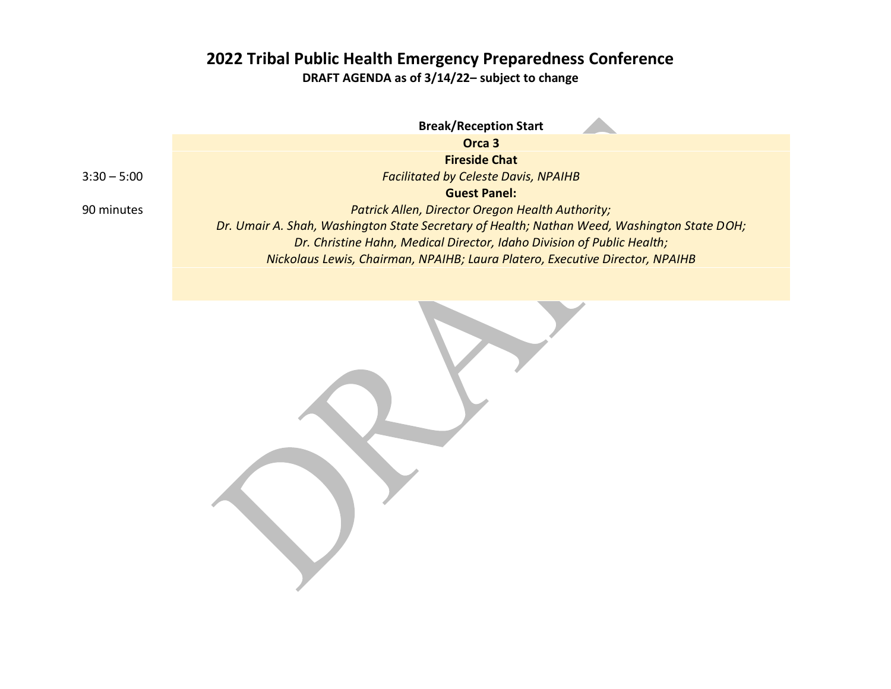**DRAFT AGENDA as of 3/14/22– subject to change**

**Break/Reception Start Orca 3**  $3:30 - 5:00$ **Fireside Chat** *Facilitated by Celeste Davis, NPAIHB* **Guest Panel:**  *Patrick Allen, Director Oregon Health Authority; Dr. Umair A. Shah, Washington State Secretary of Health; Nathan Weed, Washington State DOH; Dr. Christine Hahn, Medical Director, Idaho Division of Public Health; Nickolaus Lewis, Chairman, NPAIHB; Laura Platero, Executive Director, NPAIHB*

90 minutes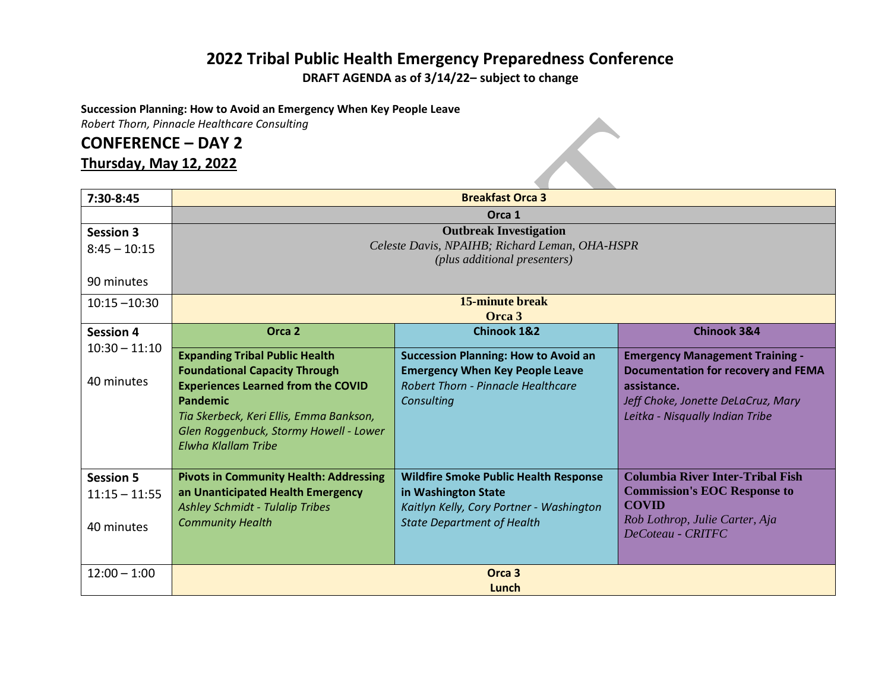**DRAFT AGENDA as of 3/14/22– subject to change**

 $\curvearrowleft$ 

**Succession Planning: How to Avoid an Emergency When Key People Leave**

*Robert Thorn, Pinnacle Healthcare Consulting*

# **CONFERENCE – DAY 2**

# **Thursday, May 12, 2022**

| 7:30-8:45        | <b>Breakfast Orca 3</b>                                                            |                                                                     |                                            |  |
|------------------|------------------------------------------------------------------------------------|---------------------------------------------------------------------|--------------------------------------------|--|
|                  | Orca 1                                                                             |                                                                     |                                            |  |
| <b>Session 3</b> | <b>Outbreak Investigation</b>                                                      |                                                                     |                                            |  |
| $8:45 - 10:15$   | Celeste Davis, NPAIHB; Richard Leman, OHA-HSPR                                     |                                                                     |                                            |  |
|                  | (plus additional presenters)                                                       |                                                                     |                                            |  |
| 90 minutes       |                                                                                    |                                                                     |                                            |  |
| $10:15 - 10:30$  | 15-minute break                                                                    |                                                                     |                                            |  |
|                  | Orca 3                                                                             |                                                                     |                                            |  |
| <b>Session 4</b> | Orca <sub>2</sub>                                                                  | <b>Chinook 1&amp;2</b>                                              | <b>Chinook 3&amp;4</b>                     |  |
| $10:30 - 11:10$  | <b>Expanding Tribal Public Health</b>                                              | <b>Succession Planning: How to Avoid an</b>                         | <b>Emergency Management Training -</b>     |  |
|                  | <b>Foundational Capacity Through</b>                                               | <b>Emergency When Key People Leave</b>                              | <b>Documentation for recovery and FEMA</b> |  |
| 40 minutes       | <b>Experiences Learned from the COVID</b>                                          | <b>Robert Thorn - Pinnacle Healthcare</b>                           | assistance.                                |  |
|                  | Pandemic                                                                           | Consulting                                                          | Jeff Choke, Jonette DeLaCruz, Mary         |  |
|                  | Tia Skerbeck, Keri Ellis, Emma Bankson,                                            |                                                                     | Leitka - Nisqually Indian Tribe            |  |
|                  | Glen Roggenbuck, Stormy Howell - Lower                                             |                                                                     |                                            |  |
|                  | <b>Elwha Klallam Tribe</b>                                                         |                                                                     |                                            |  |
|                  |                                                                                    |                                                                     | <b>Columbia River Inter-Tribal Fish</b>    |  |
| <b>Session 5</b> | <b>Pivots in Community Health: Addressing</b><br>an Unanticipated Health Emergency | <b>Wildfire Smoke Public Health Response</b><br>in Washington State | <b>Commission's EOC Response to</b>        |  |
| $11:15 - 11:55$  | <b>Ashley Schmidt - Tulalip Tribes</b>                                             | Kaitlyn Kelly, Cory Portner - Washington                            | <b>COVID</b>                               |  |
|                  | <b>Community Health</b>                                                            | <b>State Department of Health</b>                                   | Rob Lothrop, Julie Carter, Aja             |  |
| 40 minutes       |                                                                                    |                                                                     | DeCoteau - CRITFC                          |  |
|                  |                                                                                    |                                                                     |                                            |  |
| $12:00 - 1:00$   | Orca <sub>3</sub>                                                                  |                                                                     |                                            |  |
|                  | Lunch                                                                              |                                                                     |                                            |  |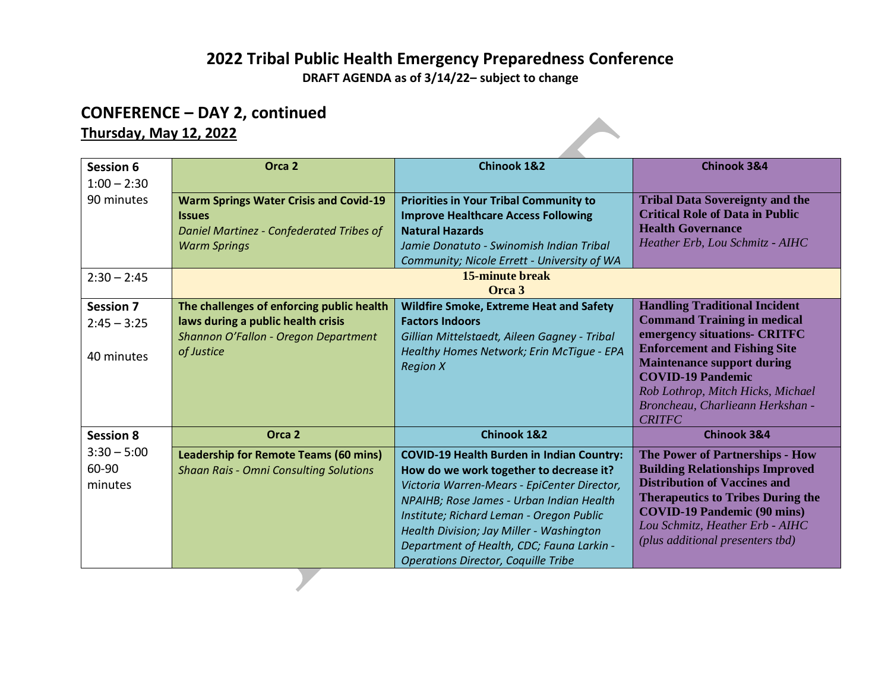**DRAFT AGENDA as of 3/14/22– subject to change**

# **CONFERENCE – DAY 2, continued**

# **Thursday, May 12, 2022**

| <b>Session 6</b> | Orca <sub>2</sub>                             | <b>Chinook 1&amp;2</b>                           | <b>Chinook 3&amp;4</b>                                             |
|------------------|-----------------------------------------------|--------------------------------------------------|--------------------------------------------------------------------|
| $1:00 - 2:30$    |                                               |                                                  |                                                                    |
| 90 minutes       | <b>Warm Springs Water Crisis and Covid-19</b> | <b>Priorities in Your Tribal Community to</b>    | <b>Tribal Data Sovereignty and the</b>                             |
|                  | <b>Issues</b>                                 | <b>Improve Healthcare Access Following</b>       | <b>Critical Role of Data in Public</b>                             |
|                  | Daniel Martinez - Confederated Tribes of      | <b>Natural Hazards</b>                           | <b>Health Governance</b>                                           |
|                  | <b>Warm Springs</b>                           | Jamie Donatuto - Swinomish Indian Tribal         | Heather Erb, Lou Schmitz - AIHC                                    |
|                  |                                               | Community; Nicole Errett - University of WA      |                                                                    |
| $2:30 - 2:45$    | <b>15-minute break</b>                        |                                                  |                                                                    |
|                  |                                               | Orca 3                                           |                                                                    |
| <b>Session 7</b> | The challenges of enforcing public health     | <b>Wildfire Smoke, Extreme Heat and Safety</b>   | <b>Handling Traditional Incident</b>                               |
| $2:45 - 3:25$    | laws during a public health crisis            | <b>Factors Indoors</b>                           | <b>Command Training in medical</b><br>emergency situations- CRITFC |
|                  | Shannon O'Fallon - Oregon Department          | Gillian Mittelstaedt, Aileen Gagney - Tribal     | <b>Enforcement and Fishing Site</b>                                |
| 40 minutes       | of Justice                                    | Healthy Homes Network; Erin McTigue - EPA        | <b>Maintenance support during</b>                                  |
|                  |                                               | <b>Region X</b>                                  | <b>COVID-19 Pandemic</b>                                           |
|                  |                                               |                                                  | Rob Lothrop, Mitch Hicks, Michael                                  |
|                  |                                               |                                                  | Broncheau, Charlieann Herkshan -                                   |
|                  |                                               |                                                  | <b>CRITFC</b>                                                      |
| <b>Session 8</b> | Orca <sub>2</sub>                             | <b>Chinook 1&amp;2</b>                           | <b>Chinook 3&amp;4</b>                                             |
| $3:30 - 5:00$    | <b>Leadership for Remote Teams (60 mins)</b>  | <b>COVID-19 Health Burden in Indian Country:</b> | The Power of Partnerships - How                                    |
| 60-90            | <b>Shaan Rais - Omni Consulting Solutions</b> | How do we work together to decrease it?          | <b>Building Relationships Improved</b>                             |
| minutes          |                                               | Victoria Warren-Mears - EpiCenter Director,      | <b>Distribution of Vaccines and</b>                                |
|                  |                                               | NPAIHB; Rose James - Urban Indian Health         | <b>Therapeutics to Tribes During the</b>                           |
|                  |                                               | Institute; Richard Leman - Oregon Public         | <b>COVID-19 Pandemic (90 mins)</b>                                 |
|                  |                                               | Health Division; Jay Miller - Washington         | Lou Schmitz, Heather Erb - AIHC                                    |
|                  |                                               | Department of Health, CDC; Fauna Larkin -        | (plus additional presenters tbd)                                   |
|                  |                                               | <b>Operations Director, Coquille Tribe</b>       |                                                                    |

 $\mathcal{L}$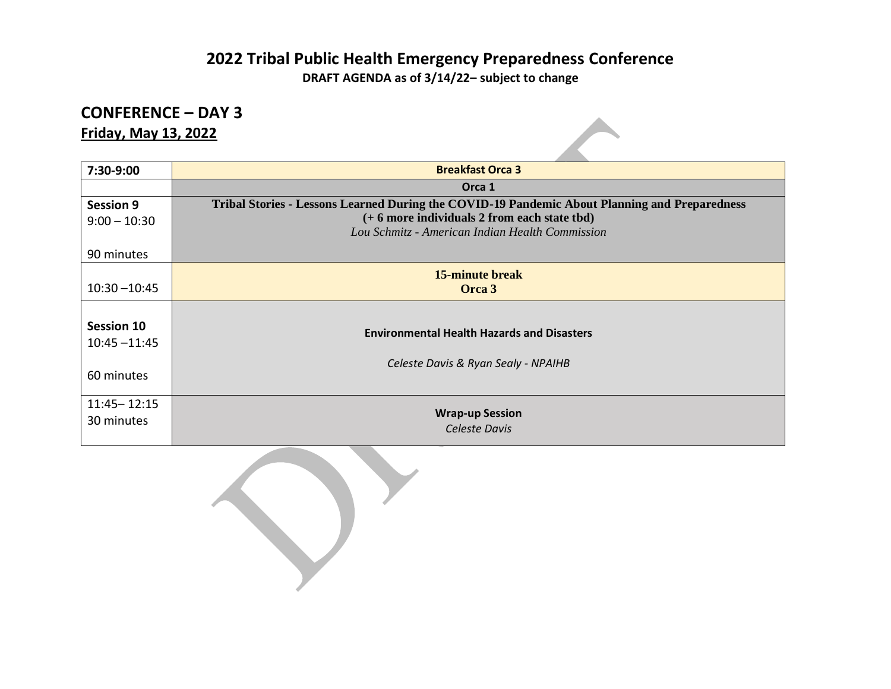**DRAFT AGENDA as of 3/14/22– subject to change**

# **CONFERENCE – DAY 3**

**Friday, May 13, 2022**

| 7:30-9:00                     | <b>Breakfast Orca 3</b>                                                                         |
|-------------------------------|-------------------------------------------------------------------------------------------------|
|                               | Orca 1                                                                                          |
| <b>Session 9</b>              | Tribal Stories - Lessons Learned During the COVID-19 Pandemic About Planning and Preparedness   |
| $9:00 - 10:30$                | (+ 6 more individuals 2 from each state tbd)<br>Lou Schmitz - American Indian Health Commission |
| 90 minutes                    |                                                                                                 |
| $10:30 - 10:45$               | <b>15-minute break</b><br>Orca 3                                                                |
|                               |                                                                                                 |
| Session 10<br>$10:45 - 11:45$ | <b>Environmental Health Hazards and Disasters</b>                                               |
| 60 minutes                    | Celeste Davis & Ryan Sealy - NPAIHB                                                             |
| $11:45 - 12:15$<br>30 minutes | <b>Wrap-up Session</b><br>Celeste Davis                                                         |

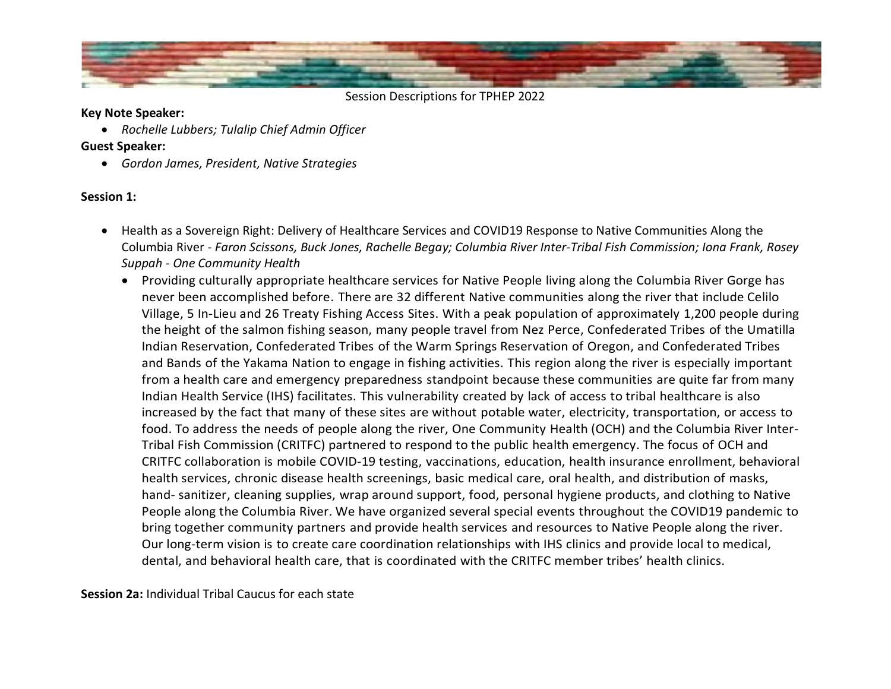

#### **Key Note Speaker:**

• *Rochelle Lubbers; Tulalip Chief Admin Officer*

### **Guest Speaker:**

• *Gordon James, President, Native Strategies*

## **Session 1:**

- Health as a Sovereign Right: Delivery of Healthcare Services and COVID19 Response to Native Communities Along the Columbia River - *Faron Scissons, Buck Jones, Rachelle Begay; Columbia River Inter-Tribal Fish Commission; Iona Frank, Rosey Suppah - One Community Health*
	- Providing culturally appropriate healthcare services for Native People living along the Columbia River Gorge has never been accomplished before. There are 32 different Native communities along the river that include Celilo Village, 5 In-Lieu and 26 Treaty Fishing Access Sites. With a peak population of approximately 1,200 people during the height of the salmon fishing season, many people travel from Nez Perce, Confederated Tribes of the Umatilla Indian Reservation, Confederated Tribes of the Warm Springs Reservation of Oregon, and Confederated Tribes and Bands of the Yakama Nation to engage in fishing activities. This region along the river is especially important from a health care and emergency preparedness standpoint because these communities are quite far from many Indian Health Service (IHS) facilitates. This vulnerability created by lack of access to tribal healthcare is also increased by the fact that many of these sites are without potable water, electricity, transportation, or access to food. To address the needs of people along the river, One Community Health (OCH) and the Columbia River Inter-Tribal Fish Commission (CRITFC) partnered to respond to the public health emergency. The focus of OCH and CRITFC collaboration is mobile COVID-19 testing, vaccinations, education, health insurance enrollment, behavioral health services, chronic disease health screenings, basic medical care, oral health, and distribution of masks, hand- sanitizer, cleaning supplies, wrap around support, food, personal hygiene products, and clothing to Native People along the Columbia River. We have organized several special events throughout the COVID19 pandemic to bring together community partners and provide health services and resources to Native People along the river. Our long-term vision is to create care coordination relationships with IHS clinics and provide local to medical, dental, and behavioral health care, that is coordinated with the CRITFC member tribes' health clinics.

**Session 2a:** Individual Tribal Caucus for each state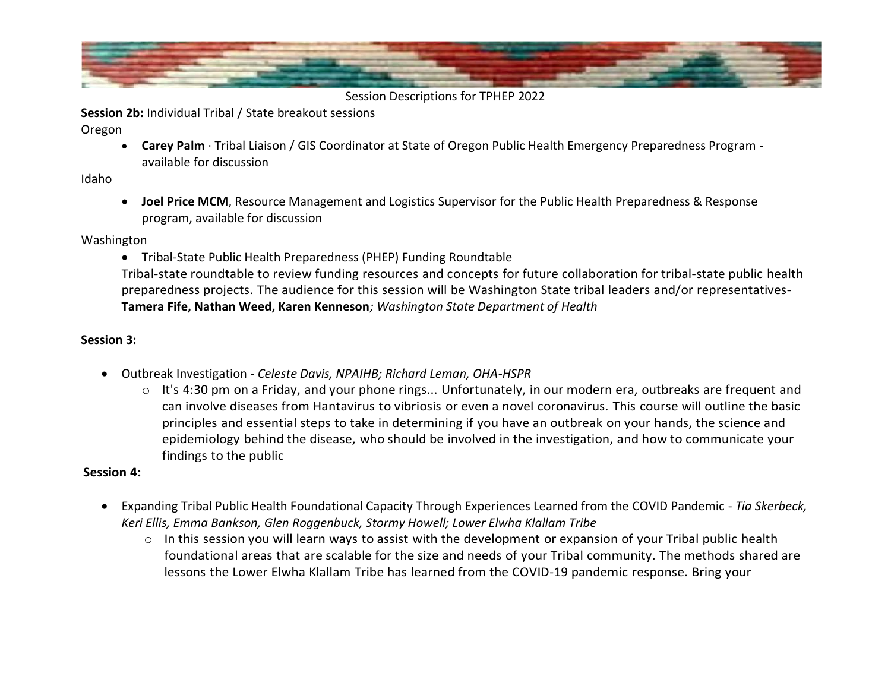

**Session 2b:** Individual Tribal / State breakout sessions

Oregon

• **Carey Palm** · Tribal Liaison / GIS Coordinator at State of Oregon Public Health Emergency Preparedness Program available for discussion

## Idaho

• **Joel Price MCM**, Resource Management and Logistics Supervisor for the Public Health Preparedness & Response program, available for discussion

Washington

• Tribal-State Public Health Preparedness (PHEP) Funding Roundtable

Tribal-state roundtable to review funding resources and concepts for future collaboration for tribal-state public health preparedness projects. The audience for this session will be Washington State tribal leaders and/or representatives-**Tamera Fife, Nathan Weed, Karen Kenneson***; Washington State Department of Health* 

# **Session 3:**

- Outbreak Investigation *Celeste Davis, NPAIHB; Richard Leman, OHA-HSPR*
	- $\circ$  It's 4:30 pm on a Friday, and your phone rings... Unfortunately, in our modern era, outbreaks are frequent and can involve diseases from Hantavirus to vibriosis or even a novel coronavirus. This course will outline the basic principles and essential steps to take in determining if you have an outbreak on your hands, the science and epidemiology behind the disease, who should be involved in the investigation, and how to communicate your findings to the public

# **Session 4:**

- Expanding Tribal Public Health Foundational Capacity Through Experiences Learned from the COVID Pandemic *Tia Skerbeck, Keri Ellis, Emma Bankson, Glen Roggenbuck, Stormy Howell; Lower Elwha Klallam Tribe*
	- o In this session you will learn ways to assist with the development or expansion of your Tribal public health foundational areas that are scalable for the size and needs of your Tribal community. The methods shared are lessons the Lower Elwha Klallam Tribe has learned from the COVID-19 pandemic response. Bring your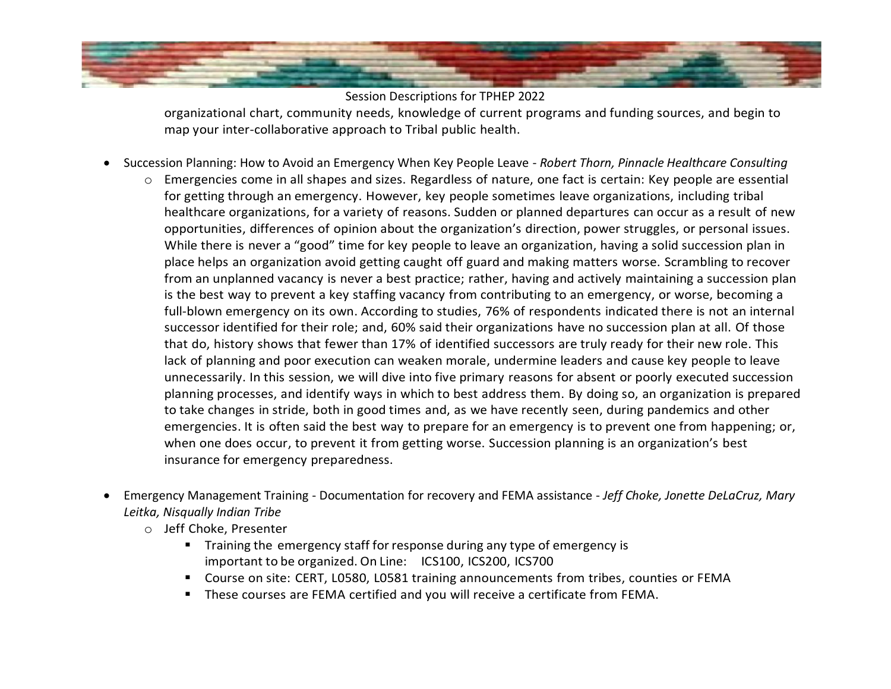

Session Descriptions for TPHEP 2022 organizational chart, community needs, knowledge of current programs and funding sources, and begin to

• Succession Planning: How to Avoid an Emergency When Key People Leave - *Robert Thorn, Pinnacle Healthcare Consulting*

map your inter-collaborative approach to Tribal public health.

- o Emergencies come in all shapes and sizes. Regardless of nature, one fact is certain: Key people are essential for getting through an emergency. However, key people sometimes leave organizations, including tribal healthcare organizations, for a variety of reasons. Sudden or planned departures can occur as a result of new opportunities, differences of opinion about the organization's direction, power struggles, or personal issues. While there is never a "good" time for key people to leave an organization, having a solid succession plan in place helps an organization avoid getting caught off guard and making matters worse. Scrambling to recover from an unplanned vacancy is never a best practice; rather, having and actively maintaining a succession plan is the best way to prevent a key staffing vacancy from contributing to an emergency, or worse, becoming a full-blown emergency on its own. According to studies, 76% of respondents indicated there is not an internal successor identified for their role; and, 60% said their organizations have no succession plan at all. Of those that do, history shows that fewer than 17% of identified successors are truly ready for their new role. This lack of planning and poor execution can weaken morale, undermine leaders and cause key people to leave unnecessarily. In this session, we will dive into five primary reasons for absent or poorly executed succession planning processes, and identify ways in which to best address them. By doing so, an organization is prepared to take changes in stride, both in good times and, as we have recently seen, during pandemics and other emergencies. It is often said the best way to prepare for an emergency is to prevent one from happening; or, when one does occur, to prevent it from getting worse. Succession planning is an organization's best insurance for emergency preparedness.
- Emergency Management Training Documentation for recovery and FEMA assistance *Jeff Choke, Jonette DeLaCruz, Mary Leitka, Nisqually Indian Tribe*
	- o Jeff Choke, Presenter
		- Training the emergency staff for response during any type of emergency is important to be organized. On Line: ICS100, ICS200, ICS700
		- Course on site: CERT, L0580, L0581 training announcements from tribes, counties or FEMA
		- These courses are FEMA certified and you will receive a certificate from FEMA.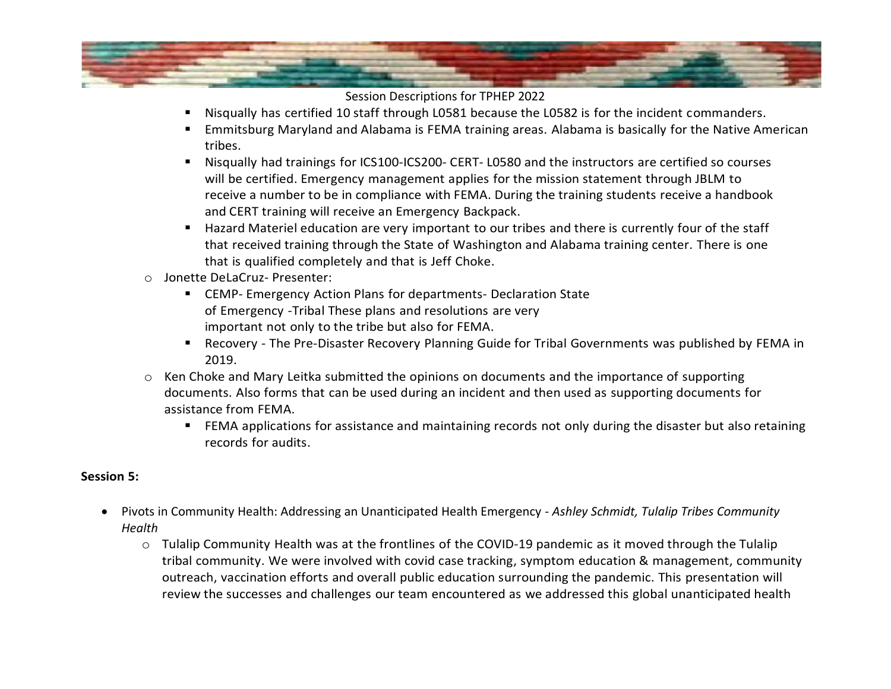

- Nisqually has certified 10 staff through L0581 because the L0582 is for the incident commanders.
- Emmitsburg Maryland and Alabama is FEMA training areas. Alabama is basically for the Native American tribes.
- Nisqually had trainings for ICS100-ICS200- CERT- L0580 and the instructors are certified so courses will be certified. Emergency management applies for the mission statement through JBLM to receive a number to be in compliance with FEMA. During the training students receive a handbook and CERT training will receive an Emergency Backpack.
- Hazard Materiel education are very important to our tribes and there is currently four of the staff that received training through the State of Washington and Alabama training center. There is one that is qualified completely and that is Jeff Choke.
- o Jonette DeLaCruz- Presenter:
	- CEMP- Emergency Action Plans for departments- Declaration State of Emergency -Tribal These plans and resolutions are very important not only to the tribe but also for FEMA.
	- Recovery The Pre-Disaster Recovery Planning Guide for Tribal Governments was published by FEMA in 2019.
- o Ken Choke and Mary Leitka submitted the opinions on documents and the importance of supporting documents. Also forms that can be used during an incident and then used as supporting documents for assistance from FEMA.
	- FEMA applications for assistance and maintaining records not only during the disaster but also retaining records for audits.

### **Session 5:**

- Pivots in Community Health: Addressing an Unanticipated Health Emergency *Ashley Schmidt, Tulalip Tribes Community Health*
	- o Tulalip Community Health was at the frontlines of the COVID-19 pandemic as it moved through the Tulalip tribal community. We were involved with covid case tracking, symptom education & management, community outreach, vaccination efforts and overall public education surrounding the pandemic. This presentation will review the successes and challenges our team encountered as we addressed this global unanticipated health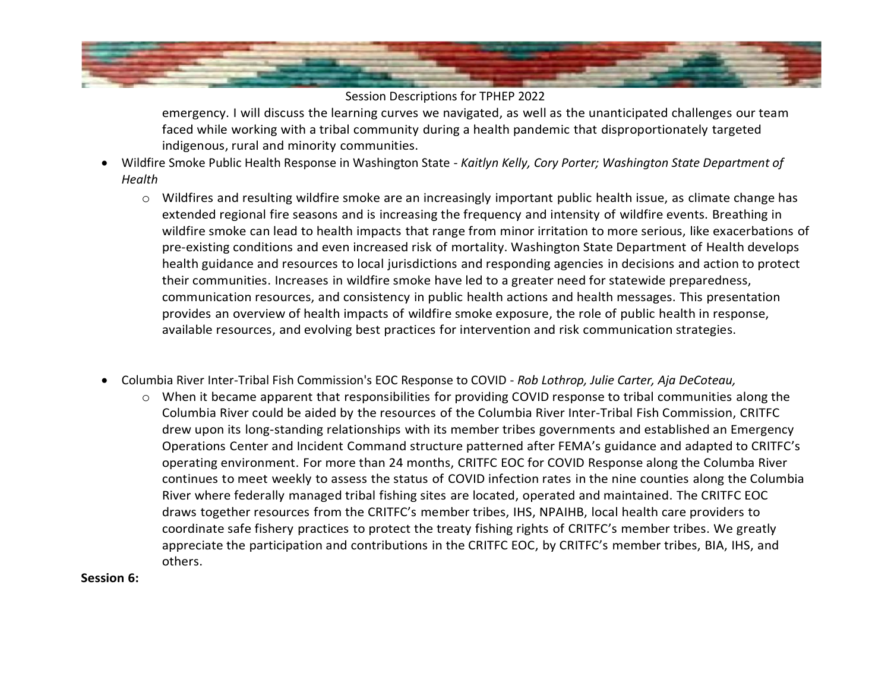

emergency. I will discuss the learning curves we navigated, as well as the unanticipated challenges our team faced while working with a tribal community during a health pandemic that disproportionately targeted indigenous, rural and minority communities.

- Wildfire Smoke Public Health Response in Washington State *- Kaitlyn Kelly, Cory Porter; Washington State Department of Health*
	- o Wildfires and resulting wildfire smoke are an increasingly important public health issue, as climate change has extended regional fire seasons and is increasing the frequency and intensity of wildfire events. Breathing in wildfire smoke can lead to health impacts that range from minor irritation to more serious, like exacerbations of pre-existing conditions and even increased risk of mortality. Washington State Department of Health develops health guidance and resources to local jurisdictions and responding agencies in decisions and action to protect their communities. Increases in wildfire smoke have led to a greater need for statewide preparedness, communication resources, and consistency in public health actions and health messages. This presentation provides an overview of health impacts of wildfire smoke exposure, the role of public health in response, available resources, and evolving best practices for intervention and risk communication strategies.
- Columbia River Inter-Tribal Fish Commission's EOC Response to COVID *Rob Lothrop, Julie Carter, Aja DeCoteau,*
	- o When it became apparent that responsibilities for providing COVID response to tribal communities along the Columbia River could be aided by the resources of the Columbia River Inter-Tribal Fish Commission, CRITFC drew upon its long-standing relationships with its member tribes governments and established an Emergency Operations Center and Incident Command structure patterned after FEMA's guidance and adapted to CRITFC's operating environment. For more than 24 months, CRITFC EOC for COVID Response along the Columba River continues to meet weekly to assess the status of COVID infection rates in the nine counties along the Columbia River where federally managed tribal fishing sites are located, operated and maintained. The CRITFC EOC draws together resources from the CRITFC's member tribes, IHS, NPAIHB, local health care providers to coordinate safe fishery practices to protect the treaty fishing rights of CRITFC's member tribes. We greatly appreciate the participation and contributions in the CRITFC EOC, by CRITFC's member tribes, BIA, IHS, and others.

#### **Session 6:**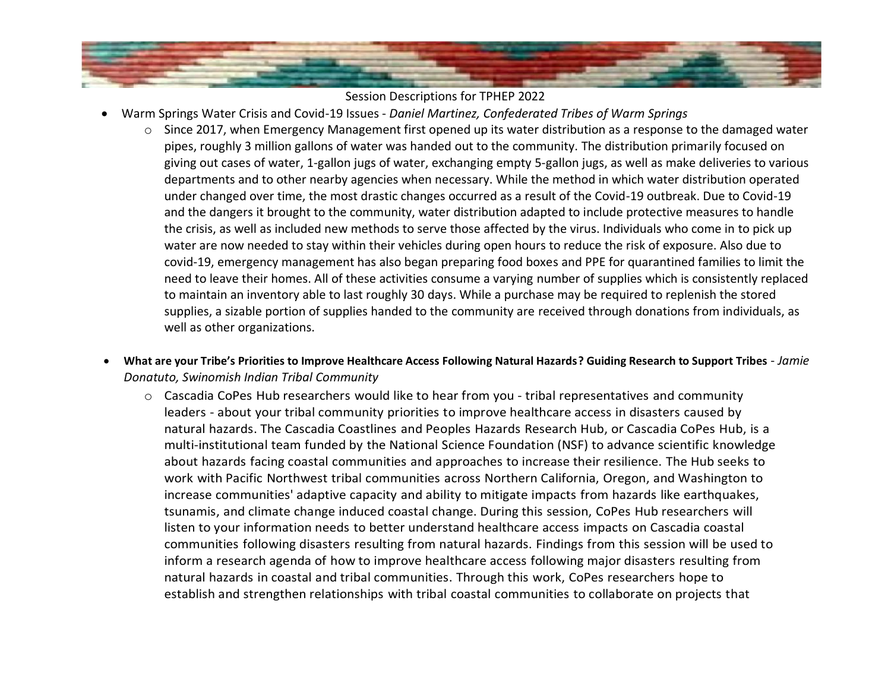

- Warm Springs Water Crisis and Covid-19 Issues *Daniel Martinez, Confederated Tribes of Warm Springs*
	- o Since 2017, when Emergency Management first opened up its water distribution as a response to the damaged water pipes, roughly 3 million gallons of water was handed out to the community. The distribution primarily focused on giving out cases of water, 1-gallon jugs of water, exchanging empty 5-gallon jugs, as well as make deliveries to various departments and to other nearby agencies when necessary. While the method in which water distribution operated under changed over time, the most drastic changes occurred as a result of the Covid-19 outbreak. Due to Covid-19 and the dangers it brought to the community, water distribution adapted to include protective measures to handle the crisis, as well as included new methods to serve those affected by the virus. Individuals who come in to pick up water are now needed to stay within their vehicles during open hours to reduce the risk of exposure. Also due to covid-19, emergency management has also began preparing food boxes and PPE for quarantined families to limit the need to leave their homes. All of these activities consume a varying number of supplies which is consistently replaced to maintain an inventory able to last roughly 30 days. While a purchase may be required to replenish the stored supplies, a sizable portion of supplies handed to the community are received through donations from individuals, as well as other organizations.
- **What are your Tribe's Priorities to Improve Healthcare Access Following Natural Hazards? Guiding Research to Support Tribes** *Jamie Donatuto, Swinomish Indian Tribal Community*
	- o Cascadia CoPes Hub researchers would like to hear from you tribal representatives and community leaders - about your tribal community priorities to improve healthcare access in disasters caused by natural hazards. The Cascadia Coastlines and Peoples Hazards Research Hub, or Cascadia CoPes Hub, is a multi-institutional team funded by the National Science Foundation (NSF) to advance scientific knowledge about hazards facing coastal communities and approaches to increase their resilience. The Hub seeks to work with Pacific Northwest tribal communities across Northern California, Oregon, and Washington to increase communities' adaptive capacity and ability to mitigate impacts from hazards like earthquakes, tsunamis, and climate change induced coastal change. During this session, CoPes Hub researchers will listen to your information needs to better understand healthcare access impacts on Cascadia coastal communities following disasters resulting from natural hazards. Findings from this session will be used to inform a research agenda of how to improve healthcare access following major disasters resulting from natural hazards in coastal and tribal communities. Through this work, CoPes researchers hope to establish and strengthen relationships with tribal coastal communities to collaborate on projects that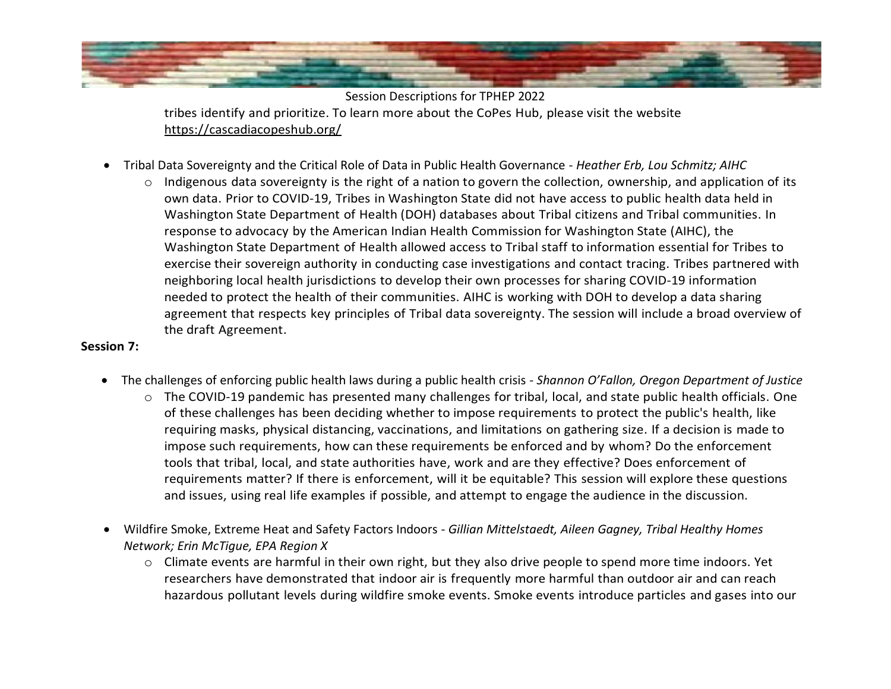

Session Descriptions for TPHEP 2022 tribes identify and prioritize. To learn more about the CoPes Hub, please visit the website <https://cascadiacopeshub.org/>

- Tribal Data Sovereignty and the Critical Role of Data in Public Health Governance *Heather Erb, Lou Schmitz; AIHC*
	- $\circ$  Indigenous data sovereignty is the right of a nation to govern the collection, ownership, and application of its own data. Prior to COVID-19, Tribes in Washington State did not have access to public health data held in Washington State Department of Health (DOH) databases about Tribal citizens and Tribal communities. In response to advocacy by the American Indian Health Commission for Washington State (AIHC), the Washington State Department of Health allowed access to Tribal staff to information essential for Tribes to exercise their sovereign authority in conducting case investigations and contact tracing. Tribes partnered with neighboring local health jurisdictions to develop their own processes for sharing COVID-19 information needed to protect the health of their communities. AIHC is working with DOH to develop a data sharing agreement that respects key principles of Tribal data sovereignty. The session will include a broad overview of the draft Agreement.

#### **Session 7:**

- The challenges of enforcing public health laws during a public health crisis *Shannon O'Fallon, Oregon Department of Justice*
	- o The COVID-19 pandemic has presented many challenges for tribal, local, and state public health officials. One of these challenges has been deciding whether to impose requirements to protect the public's health, like requiring masks, physical distancing, vaccinations, and limitations on gathering size. If a decision is made to impose such requirements, how can these requirements be enforced and by whom? Do the enforcement tools that tribal, local, and state authorities have, work and are they effective? Does enforcement of requirements matter? If there is enforcement, will it be equitable? This session will explore these questions and issues, using real life examples if possible, and attempt to engage the audience in the discussion.
- Wildfire Smoke, Extreme Heat and Safety Factors Indoors *Gillian Mittelstaedt, Aileen Gagney, Tribal Healthy Homes Network; Erin McTigue, EPA Region X*
	- $\circ$  Climate events are harmful in their own right, but they also drive people to spend more time indoors. Yet researchers have demonstrated that indoor air is frequently more harmful than outdoor air and can reach hazardous pollutant levels during wildfire smoke events. Smoke events introduce particles and gases into our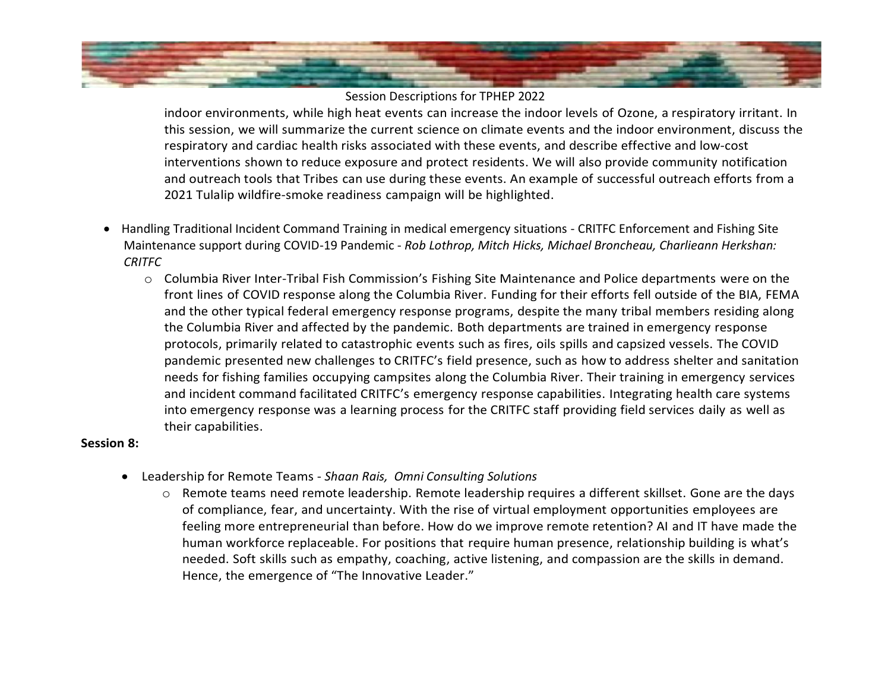

indoor environments, while high heat events can increase the indoor levels of Ozone, a respiratory irritant. In this session, we will summarize the current science on climate events and the indoor environment, discuss the respiratory and cardiac health risks associated with these events, and describe effective and low-cost interventions shown to reduce exposure and protect residents. We will also provide community notification and outreach tools that Tribes can use during these events. An example of successful outreach efforts from a 2021 Tulalip wildfire-smoke readiness campaign will be highlighted.

- Handling Traditional Incident Command Training in medical emergency situations CRITFC Enforcement and Fishing Site Maintenance support during COVID-19 Pandemic - *Rob Lothrop, Mitch Hicks, Michael Broncheau, Charlieann Herkshan: CRITFC*
	- o Columbia River Inter-Tribal Fish Commission's Fishing Site Maintenance and Police departments were on the front lines of COVID response along the Columbia River. Funding for their efforts fell outside of the BIA, FEMA and the other typical federal emergency response programs, despite the many tribal members residing along the Columbia River and affected by the pandemic. Both departments are trained in emergency response protocols, primarily related to catastrophic events such as fires, oils spills and capsized vessels. The COVID pandemic presented new challenges to CRITFC's field presence, such as how to address shelter and sanitation needs for fishing families occupying campsites along the Columbia River. Their training in emergency services and incident command facilitated CRITFC's emergency response capabilities. Integrating health care systems into emergency response was a learning process for the CRITFC staff providing field services daily as well as their capabilities.

#### **Session 8:**

- Leadership for Remote Teams *Shaan Rais, Omni Consulting Solutions* 
	- o Remote teams need remote leadership. Remote leadership requires a different skillset. Gone are the days of compliance, fear, and uncertainty. With the rise of virtual employment opportunities employees are feeling more entrepreneurial than before. How do we improve remote retention? AI and IT have made the human workforce replaceable. For positions that require human presence, relationship building is what's needed. Soft skills such as empathy, coaching, active listening, and compassion are the skills in demand. Hence, the emergence of "The Innovative Leader."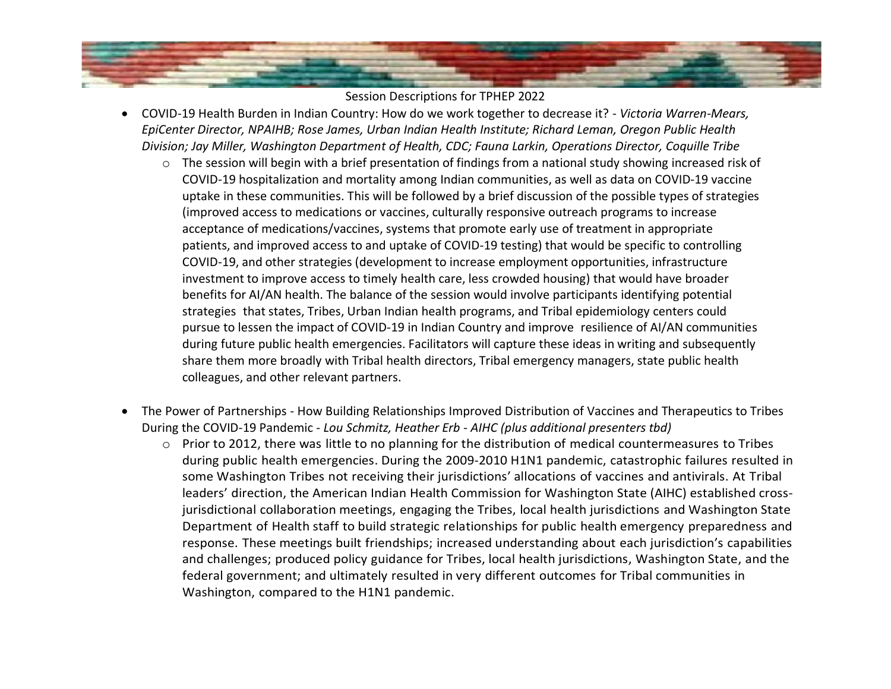

- COVID-19 Health Burden in Indian Country: How do we work together to decrease it? *Victoria Warren-Mears, EpiCenter Director, NPAIHB; Rose James, Urban Indian Health Institute; Richard Leman, Oregon Public Health Division; Jay Miller, Washington Department of Health, CDC; Fauna Larkin, Operations Director, Coquille Tribe*
	- $\circ$  The session will begin with a brief presentation of findings from a national study showing increased risk of COVID-19 hospitalization and mortality among Indian communities, as well as data on COVID-19 vaccine uptake in these communities. This will be followed by a brief discussion of the possible types of strategies (improved access to medications or vaccines, culturally responsive outreach programs to increase acceptance of medications/vaccines, systems that promote early use of treatment in appropriate patients, and improved access to and uptake of COVID-19 testing) that would be specific to controlling COVID-19, and other strategies (development to increase employment opportunities, infrastructure investment to improve access to timely health care, less crowded housing) that would have broader benefits for AI/AN health. The balance of the session would involve participants identifying potential strategies that states, Tribes, Urban Indian health programs, and Tribal epidemiology centers could pursue to lessen the impact of COVID-19 in Indian Country and improve resilience of AI/AN communities during future public health emergencies. Facilitators will capture these ideas in writing and subsequently share them more broadly with Tribal health directors, Tribal emergency managers, state public health colleagues, and other relevant partners.
- The Power of Partnerships How Building Relationships Improved Distribution of Vaccines and Therapeutics to Tribes During the COVID-19 Pandemic - *Lou Schmitz, Heather Erb - AIHC (plus additional presenters tbd)*
	- o Prior to 2012, there was little to no planning for the distribution of medical countermeasures to Tribes during public health emergencies. During the 2009-2010 H1N1 pandemic, catastrophic failures resulted in some Washington Tribes not receiving their jurisdictions' allocations of vaccines and antivirals. At Tribal leaders' direction, the American Indian Health Commission for Washington State (AIHC) established crossjurisdictional collaboration meetings, engaging the Tribes, local health jurisdictions and Washington State Department of Health staff to build strategic relationships for public health emergency preparedness and response. These meetings built friendships; increased understanding about each jurisdiction's capabilities and challenges; produced policy guidance for Tribes, local health jurisdictions, Washington State, and the federal government; and ultimately resulted in very different outcomes for Tribal communities in Washington, compared to the H1N1 pandemic.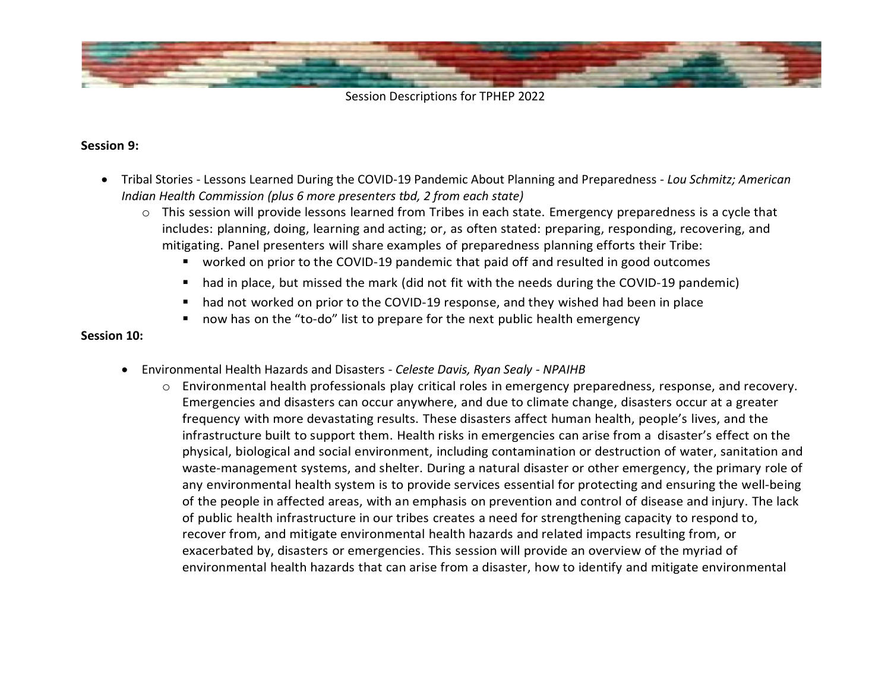

### **Session 9:**

- Tribal Stories Lessons Learned During the COVID-19 Pandemic About Planning and Preparedness *Lou Schmitz; American Indian Health Commission (plus 6 more presenters tbd, 2 from each state)*
	- o This session will provide lessons learned from Tribes in each state. Emergency preparedness is a cycle that includes: planning, doing, learning and acting; or, as often stated: preparing, responding, recovering, and mitigating. Panel presenters will share examples of preparedness planning efforts their Tribe:
		- worked on prior to the COVID-19 pandemic that paid off and resulted in good outcomes
		- had in place, but missed the mark (did not fit with the needs during the COVID-19 pandemic)
		- had not worked on prior to the COVID-19 response, and they wished had been in place
		- now has on the "to-do" list to prepare for the next public health emergency

#### **Session 10:**

- Environmental Health Hazards and Disasters *Celeste Davis, Ryan Sealy - NPAIHB*
	- o Environmental health professionals play critical roles in emergency preparedness, response, and recovery. Emergencies and disasters can occur anywhere, and due to climate change, disasters occur at a greater frequency with more devastating results. These disasters affect human health, people's lives, and the infrastructure built to support them. Health risks in emergencies can arise from a disaster's effect on the physical, biological and social environment, including contamination or destruction of water, sanitation and waste-management systems, and shelter. During a natural disaster or other emergency, the primary role of any environmental health system is to provide services essential for protecting and ensuring the well-being of the people in affected areas, with an emphasis on prevention and control of disease and injury. The lack of public health infrastructure in our tribes creates a need for strengthening capacity to respond to, recover from, and mitigate environmental health hazards and related impacts resulting from, or exacerbated by, disasters or emergencies. This session will provide an overview of the myriad of environmental health hazards that can arise from a disaster, how to identify and mitigate environmental